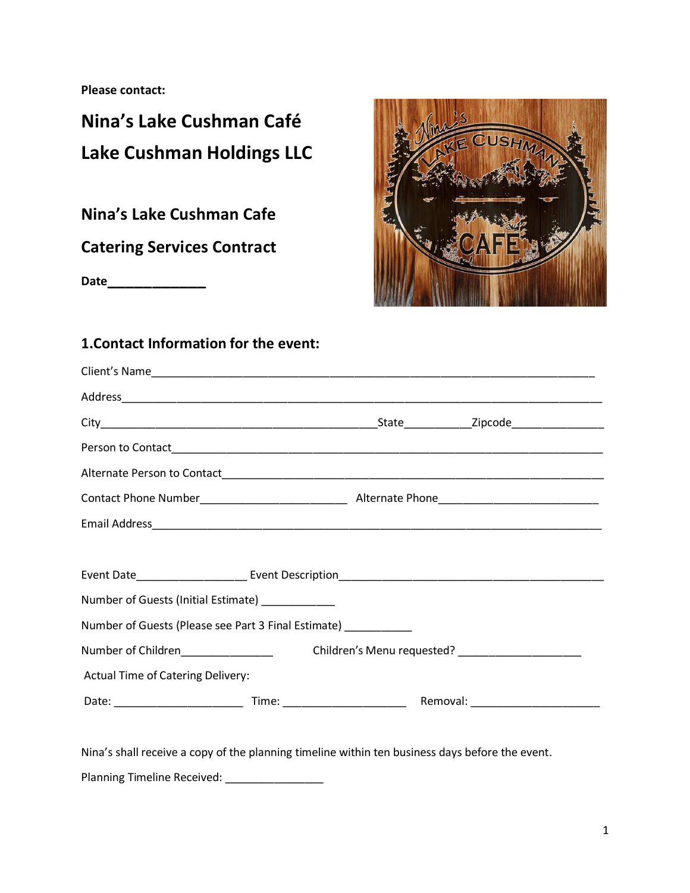**Please contact:**

## **Nina's Lake Cushman Café Lake Cushman Holdings LLC**

**Nina's Lake Cushman Cafe** 

**Catering Services Contract**

**Date\_\_\_\_\_\_\_\_\_\_\_**



## **1.Contact Information for the event:**

| Number of Guests (Initial Estimate) ___________                |  |  |
|----------------------------------------------------------------|--|--|
| Number of Guests (Please see Part 3 Final Estimate) __________ |  |  |
|                                                                |  |  |
| <b>Actual Time of Catering Delivery:</b>                       |  |  |
|                                                                |  |  |
|                                                                |  |  |

Nina's shall receive a copy of the planning timeline within ten business days before the event.

Planning Timeline Received: \_\_\_\_\_\_\_\_\_\_\_\_\_\_\_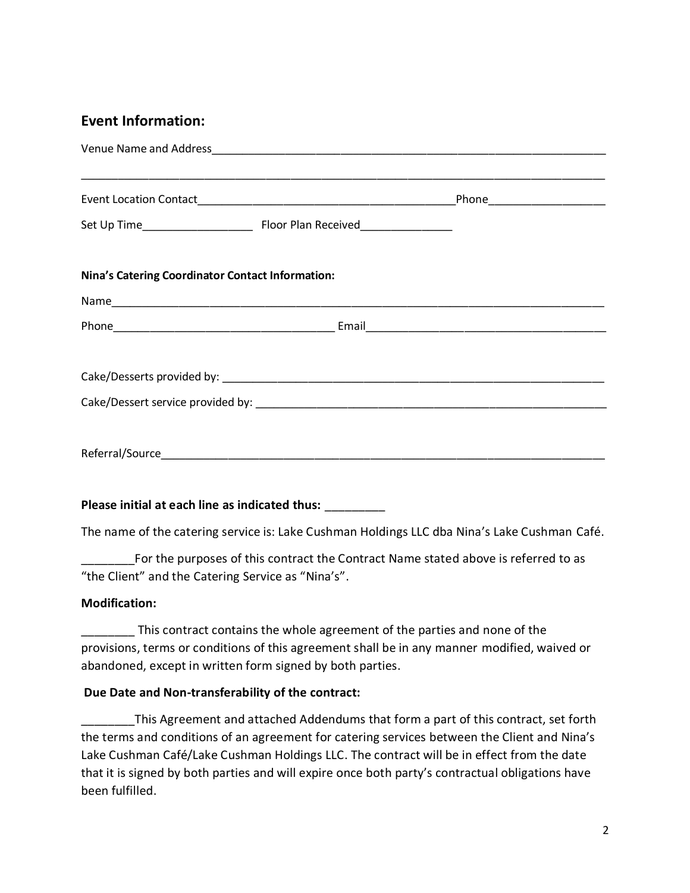#### **Event Information:**

| Nina's Catering Coordinator Contact Information: |  |
|--------------------------------------------------|--|
|                                                  |  |
|                                                  |  |
|                                                  |  |
|                                                  |  |
|                                                  |  |
|                                                  |  |
|                                                  |  |
|                                                  |  |

#### **Please initial at each line as indicated thus:** \_\_\_\_\_\_\_\_\_

The name of the catering service is: Lake Cushman Holdings LLC dba Nina's Lake Cushman Café.

For the purposes of this contract the Contract Name stated above is referred to as "the Client" and the Catering Service as "Nina's".

#### **Modification:**

This contract contains the whole agreement of the parties and none of the provisions, terms or conditions of this agreement shall be in any manner modified, waived or abandoned, except in written form signed by both parties.

#### **Due Date and Non-transferability of the contract:**

\_\_\_\_\_\_\_\_This Agreement and attached Addendums that form a part of this contract, set forth the terms and conditions of an agreement for catering services between the Client and Nina's Lake Cushman Café/Lake Cushman Holdings LLC. The contract will be in effect from the date that it is signed by both parties and will expire once both party's contractual obligations have been fulfilled.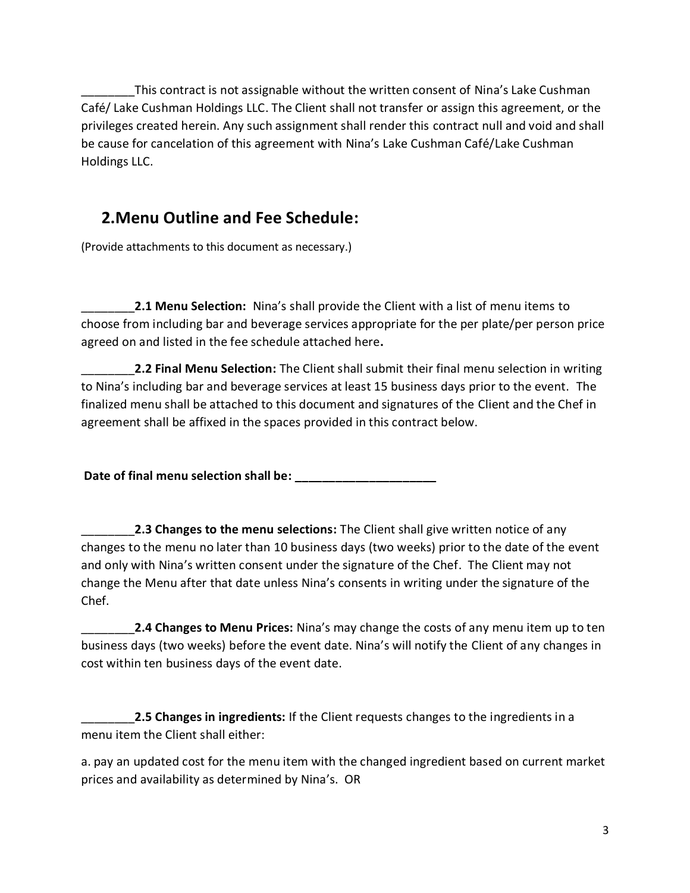This contract is not assignable without the written consent of Nina's Lake Cushman Café/ Lake Cushman Holdings LLC. The Client shall not transfer or assign this agreement, or the privileges created herein. Any such assignment shall render this contract null and void and shall be cause for cancelation of this agreement with Nina's Lake Cushman Café/Lake Cushman Holdings LLC.

## **2.Menu Outline and Fee Schedule:**

(Provide attachments to this document as necessary.)

\_\_\_\_\_\_\_\_**2.1 Menu Selection:** Nina's shall provide the Client with a list of menu items to choose from including bar and beverage services appropriate for the per plate/per person price agreed on and listed in the fee schedule attached here**.**

\_\_\_\_\_\_\_\_**2.2 Final Menu Selection:** The Client shall submit their final menu selection in writing to Nina's including bar and beverage services at least 15 business days prior to the event. The finalized menu shall be attached to this document and signatures of the Client and the Chef in agreement shall be affixed in the spaces provided in this contract below.

**Date of final menu selection shall be: \_\_\_\_\_\_\_\_\_\_\_\_\_\_\_\_\_\_\_\_\_**

\_\_\_\_\_\_\_\_**2.3 Changes to the menu selections:** The Client shall give written notice of any changes to the menu no later than 10 business days (two weeks) prior to the date of the event and only with Nina's written consent under the signature of the Chef. The Client may not change the Menu after that date unless Nina's consents in writing under the signature of the Chef.

\_\_\_\_\_\_\_\_**2.4 Changes to Menu Prices:** Nina's may change the costs of any menu item up to ten business days (two weeks) before the event date. Nina's will notify the Client of any changes in cost within ten business days of the event date.

\_\_\_\_\_\_\_\_**2.5 Changes in ingredients:** If the Client requests changes to the ingredients in a menu item the Client shall either:

a. pay an updated cost for the menu item with the changed ingredient based on current market prices and availability as determined by Nina's. OR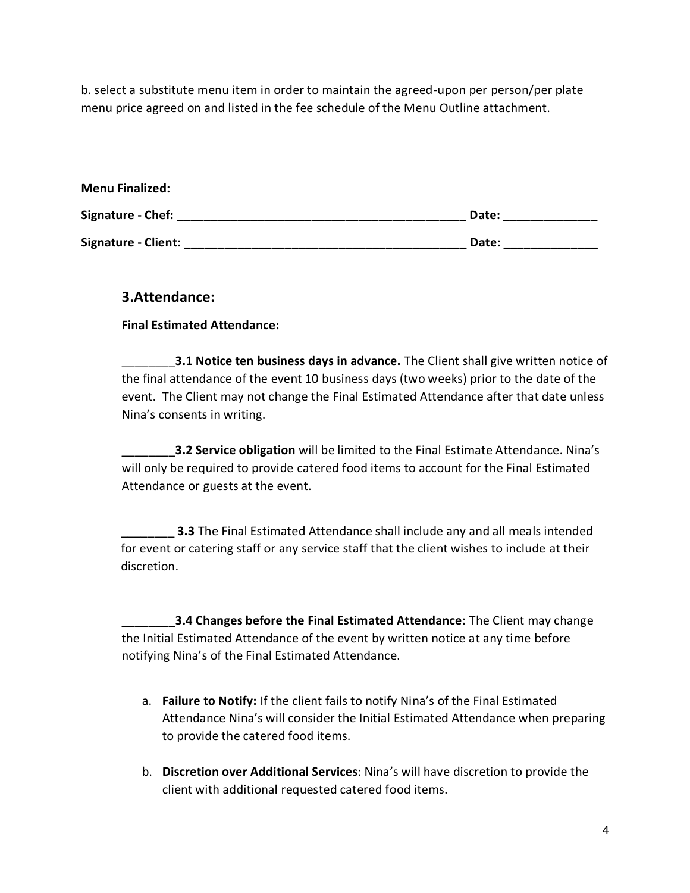b. select a substitute menu item in order to maintain the agreed-upon per person/per plate menu price agreed on and listed in the fee schedule of the Menu Outline attachment.

| <b>Menu Finalized:</b> |       |
|------------------------|-------|
| Signature - Chef:      | Date: |
| Signature - Client:    | Date: |

#### **3.Attendance:**

**Final Estimated Attendance:**

\_\_\_\_\_\_\_\_**3.1 Notice ten business days in advance.** The Client shall give written notice of the final attendance of the event 10 business days (two weeks) prior to the date of the event. The Client may not change the Final Estimated Attendance after that date unless Nina's consents in writing.

\_\_\_\_\_\_\_\_**3.2 Service obligation** will be limited to the Final Estimate Attendance. Nina's will only be required to provide catered food items to account for the Final Estimated Attendance or guests at the event.

**3.3** The Final Estimated Attendance shall include any and all meals intended for event or catering staff or any service staff that the client wishes to include at their discretion.

\_\_\_\_\_\_\_\_**3.4 Changes before the Final Estimated Attendance:** The Client may change the Initial Estimated Attendance of the event by written notice at any time before notifying Nina's of the Final Estimated Attendance.

- a. **Failure to Notify:** If the client fails to notify Nina's of the Final Estimated Attendance Nina's will consider the Initial Estimated Attendance when preparing to provide the catered food items.
- b. **Discretion over Additional Services**: Nina's will have discretion to provide the client with additional requested catered food items.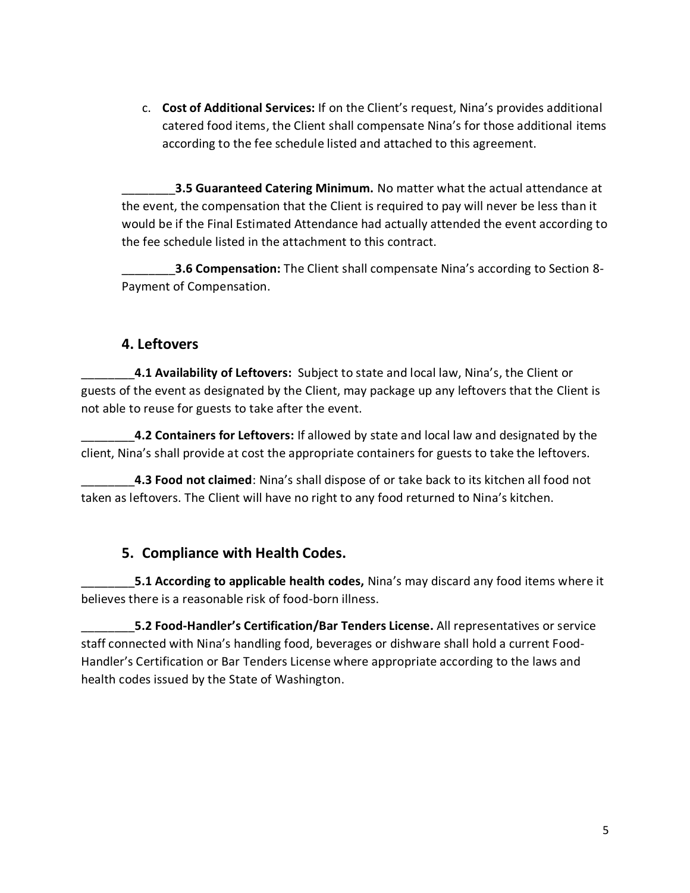c. **Cost of Additional Services:** If on the Client's request, Nina's provides additional catered food items, the Client shall compensate Nina's for those additional items according to the fee schedule listed and attached to this agreement.

\_\_\_\_\_\_\_\_**3.5 Guaranteed Catering Minimum.** No matter what the actual attendance at the event, the compensation that the Client is required to pay will never be less than it would be if the Final Estimated Attendance had actually attended the event according to the fee schedule listed in the attachment to this contract.

\_\_\_\_\_\_\_\_**3.6 Compensation:** The Client shall compensate Nina's according to Section 8- Payment of Compensation.

#### **4. Leftovers**

\_\_\_\_\_\_\_\_**4.1 Availability of Leftovers:** Subject to state and local law, Nina's, the Client or guests of the event as designated by the Client, may package up any leftovers that the Client is not able to reuse for guests to take after the event.

\_\_\_\_\_\_\_\_**4.2 Containers for Leftovers:** If allowed by state and local law and designated by the client, Nina's shall provide at cost the appropriate containers for guests to take the leftovers.

\_\_\_\_\_\_\_\_**4.3 Food not claimed**: Nina's shall dispose of or take back to its kitchen all food not taken as leftovers. The Client will have no right to any food returned to Nina's kitchen.

## **5. Compliance with Health Codes.**

\_\_\_\_\_\_\_\_**5.1 According to applicable health codes,** Nina's may discard any food items where it believes there is a reasonable risk of food-born illness.

\_\_\_\_\_\_\_\_**5.2 Food-Handler's Certification/Bar Tenders License.** All representatives or service staff connected with Nina's handling food, beverages or dishware shall hold a current Food-Handler's Certification or Bar Tenders License where appropriate according to the laws and health codes issued by the State of Washington.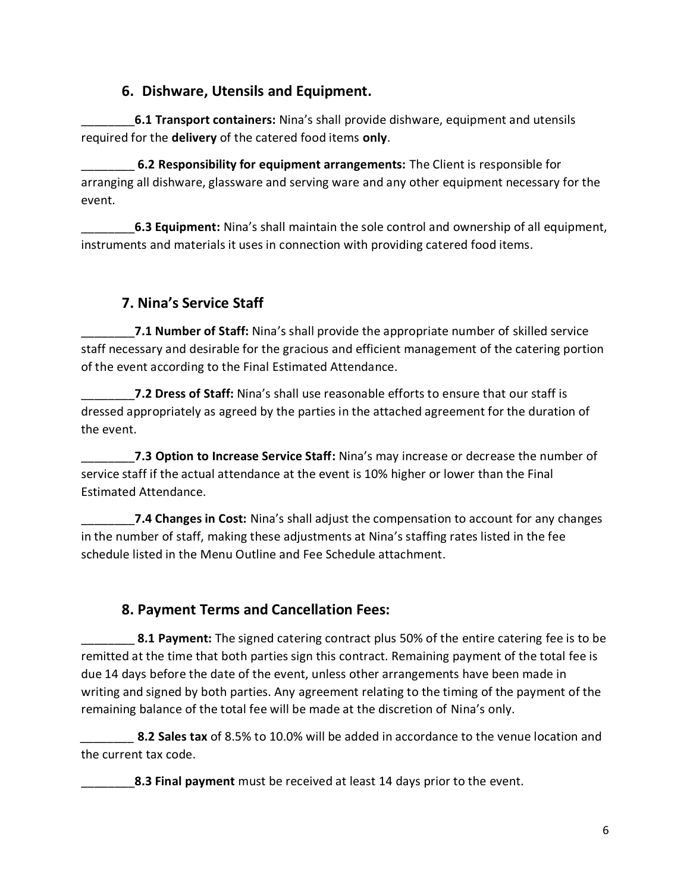#### **6. Dishware, Utensils and Equipment.**

\_\_\_\_\_\_\_\_**6.1 Transport containers:** Nina's shall provide dishware, equipment and utensils required for the **delivery** of the catered food items **only**.

\_\_\_\_\_\_\_\_ **6.2 Responsibility for equipment arrangements:** The Client is responsible for arranging all dishware, glassware and serving ware and any other equipment necessary for the event.

\_\_\_\_\_\_\_\_**6.3 Equipment:** Nina's shall maintain the sole control and ownership of all equipment, instruments and materials it uses in connection with providing catered food items.

## **7. Nina's Service Staff**

\_\_\_\_\_\_\_\_**7.1 Number of Staff:** Nina's shall provide the appropriate number of skilled service staff necessary and desirable for the gracious and efficient management of the catering portion of the event according to the Final Estimated Attendance.

7.2 Dress of Staff: Nina's shall use reasonable efforts to ensure that our staff is dressed appropriately as agreed by the parties in the attached agreement for the duration of the event.

\_\_\_\_\_\_\_\_**7.3 Option to Increase Service Staff:** Nina's may increase or decrease the number of service staff if the actual attendance at the event is 10% higher or lower than the Final Estimated Attendance.

\_\_\_\_\_\_\_\_**7.4 Changes in Cost:** Nina's shall adjust the compensation to account for any changes in the number of staff, making these adjustments at Nina's staffing rates listed in the fee schedule listed in the Menu Outline and Fee Schedule attachment.

## **8. Payment Terms and Cancellation Fees:**

\_\_\_\_\_\_\_\_ **8.1 Payment:** The signed catering contract plus 50% of the entire catering fee is to be remitted at the time that both parties sign this contract. Remaining payment of the total fee is due 14 days before the date of the event, unless other arrangements have been made in writing and signed by both parties. Any agreement relating to the timing of the payment of the remaining balance of the total fee will be made at the discretion of Nina's only.

**8.2 Sales tax** of 8.5% to 10.0% will be added in accordance to the venue location and the current tax code.

\_\_\_\_\_\_\_\_**8.3 Final payment** must be received at least 14 days prior to the event.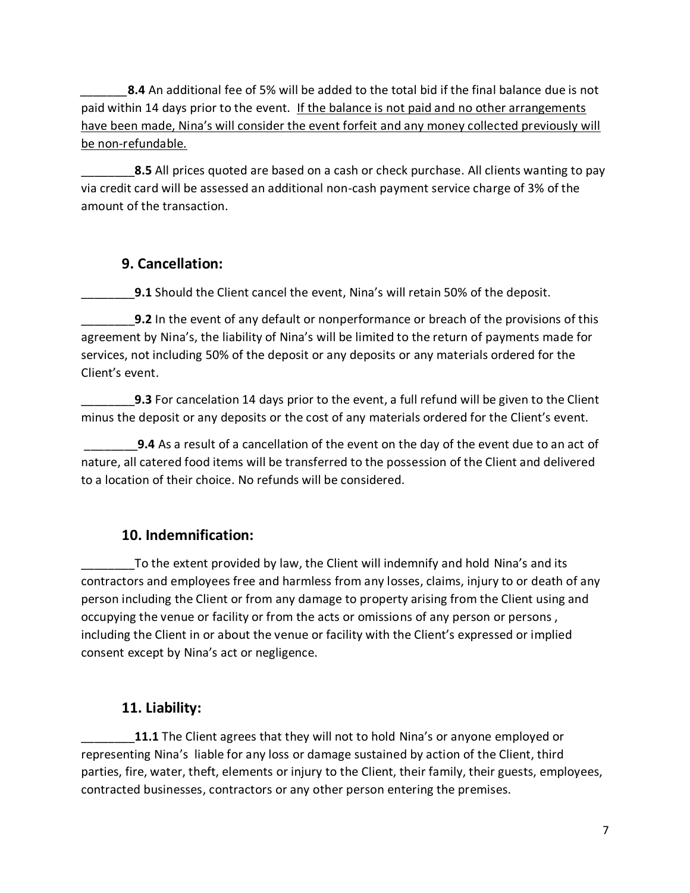*\_\_\_\_\_\_\_***8.4** An additional fee of 5% will be added to the total bid if the final balance due is not paid within 14 days prior to the event. If the balance is not paid and no other arrangements have been made, Nina's will consider the event forfeit and any money collected previously will be non-refundable.

**8.5** All prices quoted are based on a cash or check purchase. All clients wanting to pay via credit card will be assessed an additional non-cash payment service charge of 3% of the amount of the transaction.

#### **9. Cancellation:**

**9.1** Should the Client cancel the event, Nina's will retain 50% of the deposit.

\_\_\_\_\_\_\_\_**9.2** In the event of any default or nonperformance or breach of the provisions of this agreement by Nina's, the liability of Nina's will be limited to the return of payments made for services, not including 50% of the deposit or any deposits or any materials ordered for the Client's event.

**9.3** For cancelation 14 days prior to the event, a full refund will be given to the Client minus the deposit or any deposits or the cost of any materials ordered for the Client's event.

\_\_\_\_\_\_\_\_**9.4** As a result of a cancellation of the event on the day of the event due to an act of nature, all catered food items will be transferred to the possession of the Client and delivered to a location of their choice. No refunds will be considered.

## **10. Indemnification:**

To the extent provided by law, the Client will indemnify and hold Nina's and its contractors and employees free and harmless from any losses, claims, injury to or death of any person including the Client or from any damage to property arising from the Client using and occupying the venue or facility or from the acts or omissions of any person or persons , including the Client in or about the venue or facility with the Client's expressed or implied consent except by Nina's act or negligence.

## **11. Liability:**

11.1 The Client agrees that they will not to hold Nina's or anyone employed or representing Nina's liable for any loss or damage sustained by action of the Client, third parties, fire, water, theft, elements or injury to the Client, their family, their guests, employees, contracted businesses, contractors or any other person entering the premises.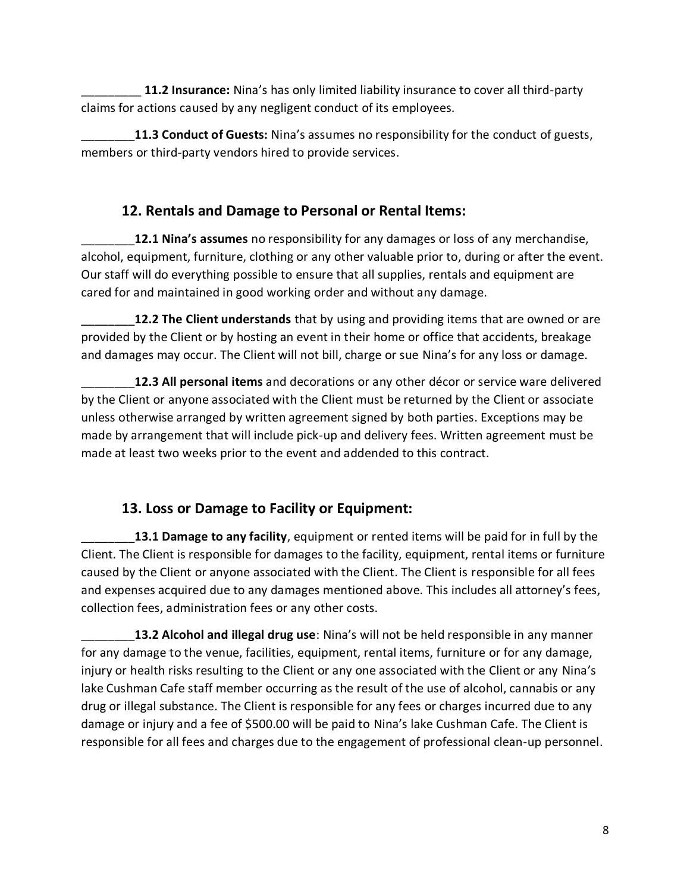\_\_\_\_\_\_\_\_\_ **11.2 Insurance:** Nina's has only limited liability insurance to cover all third-party claims for actions caused by any negligent conduct of its employees.

\_\_\_\_\_\_\_\_**11.3 Conduct of Guests:** Nina's assumes no responsibility for the conduct of guests, members or third-party vendors hired to provide services.

#### **12. Rentals and Damage to Personal or Rental Items:**

\_\_\_\_\_\_\_\_**12.1 Nina's assumes** no responsibility for any damages or loss of any merchandise, alcohol, equipment, furniture, clothing or any other valuable prior to, during or after the event. Our staff will do everything possible to ensure that all supplies, rentals and equipment are cared for and maintained in good working order and without any damage.

12.2 The Client understands that by using and providing items that are owned or are provided by the Client or by hosting an event in their home or office that accidents, breakage and damages may occur. The Client will not bill, charge or sue Nina's for any loss or damage.

\_\_\_\_\_\_\_\_**12.3 All personal items** and decorations or any other décor or service ware delivered by the Client or anyone associated with the Client must be returned by the Client or associate unless otherwise arranged by written agreement signed by both parties. Exceptions may be made by arrangement that will include pick-up and delivery fees. Written agreement must be made at least two weeks prior to the event and addended to this contract.

## **13. Loss or Damage to Facility or Equipment:**

\_\_\_\_\_\_\_\_**13.1 Damage to any facility**, equipment or rented items will be paid for in full by the Client. The Client is responsible for damages to the facility, equipment, rental items or furniture caused by the Client or anyone associated with the Client. The Client is responsible for all fees and expenses acquired due to any damages mentioned above. This includes all attorney's fees, collection fees, administration fees or any other costs.

\_\_\_\_\_\_\_\_**13.2 Alcohol and illegal drug use**: Nina's will not be held responsible in any manner for any damage to the venue, facilities, equipment, rental items, furniture or for any damage, injury or health risks resulting to the Client or any one associated with the Client or any Nina's lake Cushman Cafe staff member occurring as the result of the use of alcohol, cannabis or any drug or illegal substance. The Client is responsible for any fees or charges incurred due to any damage or injury and a fee of \$500.00 will be paid to Nina's lake Cushman Cafe. The Client is responsible for all fees and charges due to the engagement of professional clean-up personnel.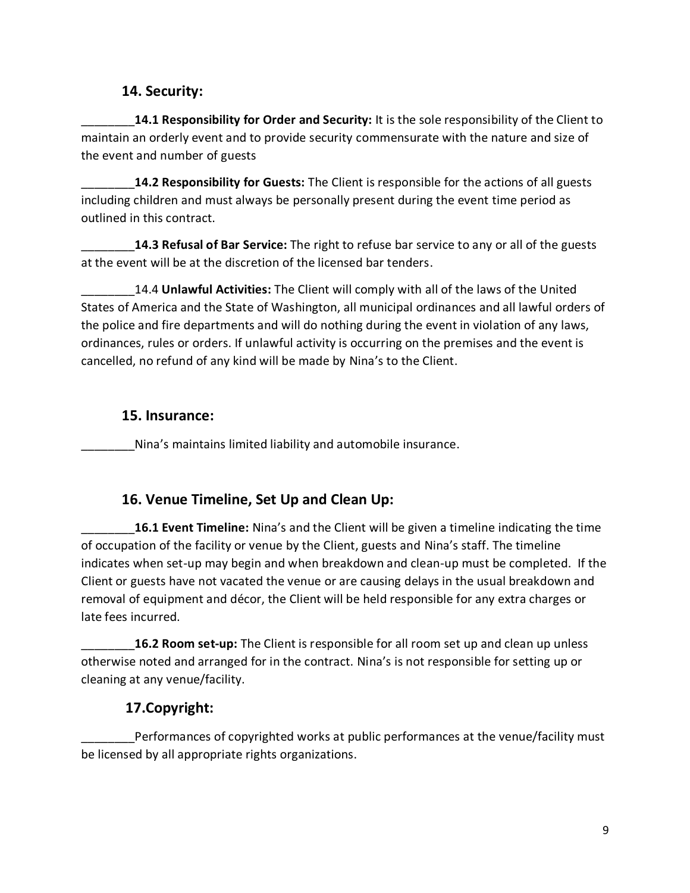#### **14. Security:**

\_\_\_\_\_\_\_\_**14.1 Responsibility for Order and Security:** It is the sole responsibility of the Client to maintain an orderly event and to provide security commensurate with the nature and size of the event and number of guests

\_\_\_\_\_\_\_\_**14.2 Responsibility for Guests:** The Client is responsible for the actions of all guests including children and must always be personally present during the event time period as outlined in this contract.

\_\_\_\_\_\_\_\_**14.3 Refusal of Bar Service:** The right to refuse bar service to any or all of the guests at the event will be at the discretion of the licensed bar tenders.

\_\_\_\_\_\_\_\_14.4 **Unlawful Activities:** The Client will comply with all of the laws of the United States of America and the State of Washington, all municipal ordinances and all lawful orders of the police and fire departments and will do nothing during the event in violation of any laws, ordinances, rules or orders. If unlawful activity is occurring on the premises and the event is cancelled, no refund of any kind will be made by Nina's to the Client.

#### **15. Insurance:**

Nina's maintains limited liability and automobile insurance.

#### **16. Venue Timeline, Set Up and Clean Up:**

\_\_\_\_\_\_\_\_**16.1 Event Timeline:** Nina's and the Client will be given a timeline indicating the time of occupation of the facility or venue by the Client, guests and Nina's staff. The timeline indicates when set-up may begin and when breakdown and clean-up must be completed. If the Client or guests have not vacated the venue or are causing delays in the usual breakdown and removal of equipment and décor, the Client will be held responsible for any extra charges or late fees incurred.

\_\_\_\_\_\_\_\_**16.2 Room set-up:** The Client is responsible for all room set up and clean up unless otherwise noted and arranged for in the contract. Nina's is not responsible for setting up or cleaning at any venue/facility.

#### **17.Copyright:**

Performances of copyrighted works at public performances at the venue/facility must be licensed by all appropriate rights organizations.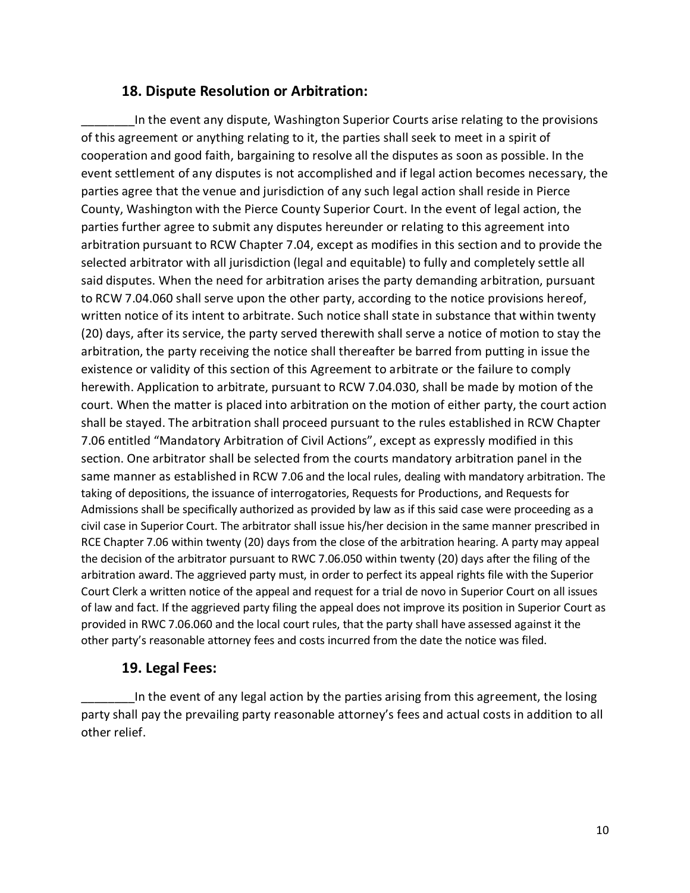#### **18. Dispute Resolution or Arbitration:**

In the event any dispute, Washington Superior Courts arise relating to the provisions of this agreement or anything relating to it, the parties shall seek to meet in a spirit of cooperation and good faith, bargaining to resolve all the disputes as soon as possible. In the event settlement of any disputes is not accomplished and if legal action becomes necessary, the parties agree that the venue and jurisdiction of any such legal action shall reside in Pierce County, Washington with the Pierce County Superior Court. In the event of legal action, the parties further agree to submit any disputes hereunder or relating to this agreement into arbitration pursuant to RCW Chapter 7.04, except as modifies in this section and to provide the selected arbitrator with all jurisdiction (legal and equitable) to fully and completely settle all said disputes. When the need for arbitration arises the party demanding arbitration, pursuant to RCW 7.04.060 shall serve upon the other party, according to the notice provisions hereof, written notice of its intent to arbitrate. Such notice shall state in substance that within twenty (20) days, after its service, the party served therewith shall serve a notice of motion to stay the arbitration, the party receiving the notice shall thereafter be barred from putting in issue the existence or validity of this section of this Agreement to arbitrate or the failure to comply herewith. Application to arbitrate, pursuant to RCW 7.04.030, shall be made by motion of the court. When the matter is placed into arbitration on the motion of either party, the court action shall be stayed. The arbitration shall proceed pursuant to the rules established in RCW Chapter 7.06 entitled "Mandatory Arbitration of Civil Actions", except as expressly modified in this section. One arbitrator shall be selected from the courts mandatory arbitration panel in the same manner as established in RCW 7.06 and the local rules, dealing with mandatory arbitration. The taking of depositions, the issuance of interrogatories, Requests for Productions, and Requests for Admissions shall be specifically authorized as provided by law as if this said case were proceeding as a civil case in Superior Court. The arbitrator shall issue his/her decision in the same manner prescribed in RCE Chapter 7.06 within twenty (20) days from the close of the arbitration hearing. A party may appeal the decision of the arbitrator pursuant to RWC 7.06.050 within twenty (20) days after the filing of the arbitration award. The aggrieved party must, in order to perfect its appeal rights file with the Superior Court Clerk a written notice of the appeal and request for a trial de novo in Superior Court on all issues of law and fact. If the aggrieved party filing the appeal does not improve its position in Superior Court as provided in RWC 7.06.060 and the local court rules, that the party shall have assessed against it the other party's reasonable attorney fees and costs incurred from the date the notice was filed.

#### **19. Legal Fees:**

In the event of any legal action by the parties arising from this agreement, the losing party shall pay the prevailing party reasonable attorney's fees and actual costs in addition to all other relief.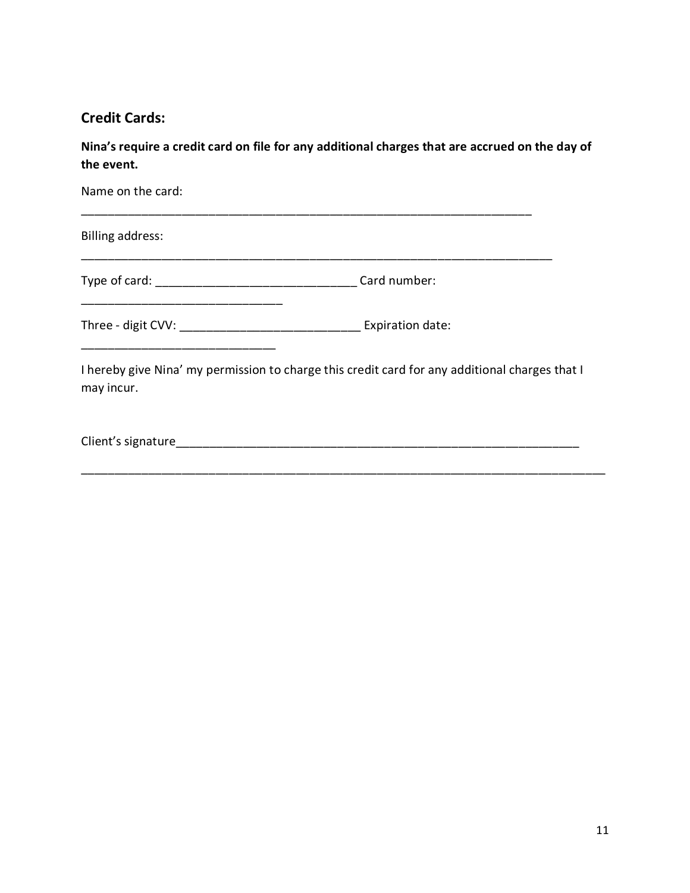#### **Credit Cards:**

**Nina's require a credit card on file for any additional charges that are accrued on the day of the event.** 

| Name on the card:                                                                                                             |  |
|-------------------------------------------------------------------------------------------------------------------------------|--|
| <b>Billing address:</b>                                                                                                       |  |
|                                                                                                                               |  |
| Three - digit CVV: _________________________________ Expiration date:<br><u> 1980 - Johann Barn, fransk politik (d. 1980)</u> |  |
| I hereby give Nina' my permission to charge this credit card for any additional charges that I<br>may incur.                  |  |
|                                                                                                                               |  |